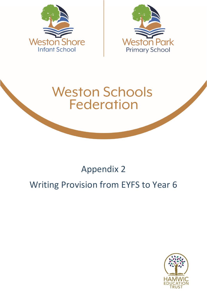



## **Weston Schools Federation**

## Appendix 2

## Writing Provision from EYFS to Year 6

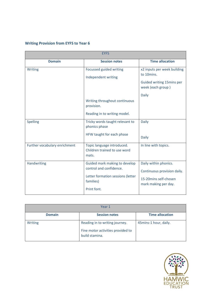## **Writing Provision from EYFS to Year 6**

| <b>EYFS</b>                   |                                                                                                                                      |                                                                                                             |
|-------------------------------|--------------------------------------------------------------------------------------------------------------------------------------|-------------------------------------------------------------------------------------------------------------|
| <b>Domain</b>                 | <b>Session notes</b>                                                                                                                 | <b>Time allocation</b>                                                                                      |
| <b>Writing</b>                | <b>Focussed guided writing</b><br>Independent writing<br>Writing throughout continuous<br>provision.<br>Reading in to writing model. | x2 inputs per week building<br>to 10mins.<br>Guided writing 15mins per<br>week (each group)<br><b>Daily</b> |
| <b>Spelling</b>               | Tricky words taught relevant to<br>phonics phase<br>HFW taught for each phase                                                        | <b>Daily</b><br><b>Daily</b>                                                                                |
| Further vocabulary enrichment | Topic language introduced.<br>Children trained to use word<br>mats.                                                                  | In line with topics.                                                                                        |
| <b>Handwriting</b>            | Guided mark making to develop<br>control and confidence.<br>Letter formation sessions (letter<br>families)<br>Print font.            | Daily within phonics.<br>Continuous provision daily.<br>15-20mins self-chosen<br>mark making per day.       |

| Year 1        |                                                                                       |                        |
|---------------|---------------------------------------------------------------------------------------|------------------------|
| <b>Domain</b> | <b>Session notes</b>                                                                  | <b>Time allocation</b> |
| Writing       | Reading in to writing journey.<br>Fine motor activities provided to<br>build stamina. | 45mins-1 hour, daily.  |

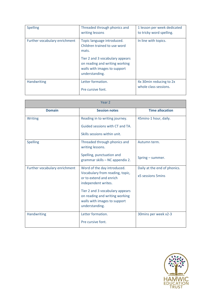| <b>Spelling</b>               | Threaded through phonics and<br>writing lessons                                                                                                                                            | 1 lesson per week dedicated<br>to tricky word spelling. |
|-------------------------------|--------------------------------------------------------------------------------------------------------------------------------------------------------------------------------------------|---------------------------------------------------------|
| Further vocabulary enrichment | Topic language introduced.<br>Children trained to use word<br>mats.<br>Tier 2 and 3 vocabulary appears<br>on reading and writing working<br>walls with images to support<br>understanding. | In line with topics.                                    |
| Handwriting                   | Letter formation.<br>Pre cursive font.                                                                                                                                                     | 4x 30 min reducing to 2x<br>whole class sessions.       |

| Year 2                        |                                                                                   |                              |
|-------------------------------|-----------------------------------------------------------------------------------|------------------------------|
| <b>Domain</b>                 | <b>Session notes</b>                                                              | <b>Time allocation</b>       |
| <b>Writing</b>                | Reading in to writing journey.                                                    | 45mins-1 hour, daily.        |
|                               | Guided sessions with CT and TA.                                                   |                              |
|                               | Skills sessions within unit.                                                      |                              |
| <b>Spelling</b>               | Threaded through phonics and<br>writing lessons.                                  | Autumn term.                 |
|                               | Spelling, punctuation and<br>grammar skills - NC appendix 2.                      | Spring - summer.             |
| Further vocabulary enrichment | Word of the day introduced.                                                       | Daily at the end of phonics. |
|                               | Vocabulary from reading, topic,<br>or to extend and enrich<br>independent writes. | x5 sessions 5mins            |
|                               | Tier 2 and 3 vocabulary appears<br>on reading and writing working                 |                              |
|                               | walls with images to support<br>understanding.                                    |                              |
| Handwriting                   | Letter formation.                                                                 | 30mins per week x2-3         |
|                               | Pre cursive font.                                                                 |                              |

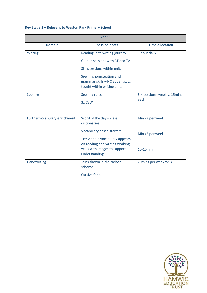| Key Stage 2 - Relevant to Weston Park Primary School |  |
|------------------------------------------------------|--|
|                                                      |  |

| Year <sub>3</sub>             |                                                                                                                                                                                                       |                                                |
|-------------------------------|-------------------------------------------------------------------------------------------------------------------------------------------------------------------------------------------------------|------------------------------------------------|
| <b>Domain</b>                 | <b>Session notes</b>                                                                                                                                                                                  | <b>Time allocation</b>                         |
| Writing                       | Reading in to writing journey.<br>Guided sessions with CT and TA.<br>Skills sessions within unit.<br>Spelling, punctuation and<br>grammar skills - NC appendix 2,<br>taught within writing units.     | 1 hour daily.                                  |
| <b>Spelling</b>               | <b>Spelling rules</b><br>3x CEW                                                                                                                                                                       | 3-4 sessions, weekly. 15mins<br>each           |
| Further vocabulary enrichment | Word of the day $-$ class<br>dictionaries.<br><b>Vocabulary based starters</b><br>Tier 2 and 3 vocabulary appears<br>on reading and writing working<br>walls with images to support<br>understanding. | Min x2 per week<br>Min x2 per week<br>10-15min |
| Handwriting                   | Joins shown in the Nelson<br>scheme.<br>Cursive font.                                                                                                                                                 | 20mins per week x2-3                           |

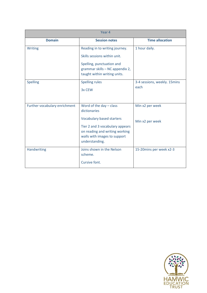| Year 4                        |                                                                                                                                                                                                      |                                      |
|-------------------------------|------------------------------------------------------------------------------------------------------------------------------------------------------------------------------------------------------|--------------------------------------|
| <b>Domain</b>                 | <b>Session notes</b>                                                                                                                                                                                 | <b>Time allocation</b>               |
| <b>Writing</b>                | Reading in to writing journey.<br>Skills sessions within unit.<br>Spelling, punctuation and<br>grammar skills - NC appendix 2,<br>taught within writing units.                                       | 1 hour daily.                        |
| <b>Spelling</b>               | <b>Spelling rules</b><br>3x CEW                                                                                                                                                                      | 3-4 sessions, weekly. 15mins<br>each |
| Further vocabulary enrichment | Word of the day $-$ class<br>dictionaries<br><b>Vocabulary based starters</b><br>Tier 2 and 3 vocabulary appears<br>on reading and writing working<br>walls with images to support<br>understanding. | Min x2 per week<br>Min x2 per week   |
| <b>Handwriting</b>            | Joins shown in the Nelson<br>scheme.<br>Cursive font.                                                                                                                                                | 15-20mins per week x2-3              |

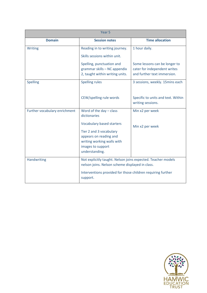| Year <sub>5</sub>             |                                                                                                                                                                            |                                                                                              |
|-------------------------------|----------------------------------------------------------------------------------------------------------------------------------------------------------------------------|----------------------------------------------------------------------------------------------|
| <b>Domain</b>                 | <b>Session notes</b>                                                                                                                                                       | <b>Time allocation</b>                                                                       |
| Writing                       | Reading in to writing journey.                                                                                                                                             | 1 hour daily.                                                                                |
|                               | Skills sessions within unit.                                                                                                                                               |                                                                                              |
|                               | Spelling, punctuation and<br>grammar skills - NC appendix<br>2, taught within writing units.                                                                               | Some lessons can be longer to<br>cater for independent writes<br>and further text immersion. |
| Spelling                      | <b>Spelling rules</b>                                                                                                                                                      | 3 sessions, weekly. 15mins each                                                              |
|                               | CEW/spelling rule words                                                                                                                                                    | Specific to units and text. Within<br>writing sessions.                                      |
| Further vocabulary enrichment | Word of the day - class                                                                                                                                                    | Min x2 per week                                                                              |
|                               | dictionaries<br><b>Vocabulary based starters</b><br>Tier 2 and 3 vocabulary<br>appears on reading and<br>writing working walls with<br>images to support<br>understanding. | Min x2 per week                                                                              |
| Handwriting                   | Not explicitly taught. Nelson joins expected. Teacher models<br>nelson joins. Nelson scheme displayed in class.                                                            |                                                                                              |
|                               | Interventions provided for those children requiring further<br>support.                                                                                                    |                                                                                              |